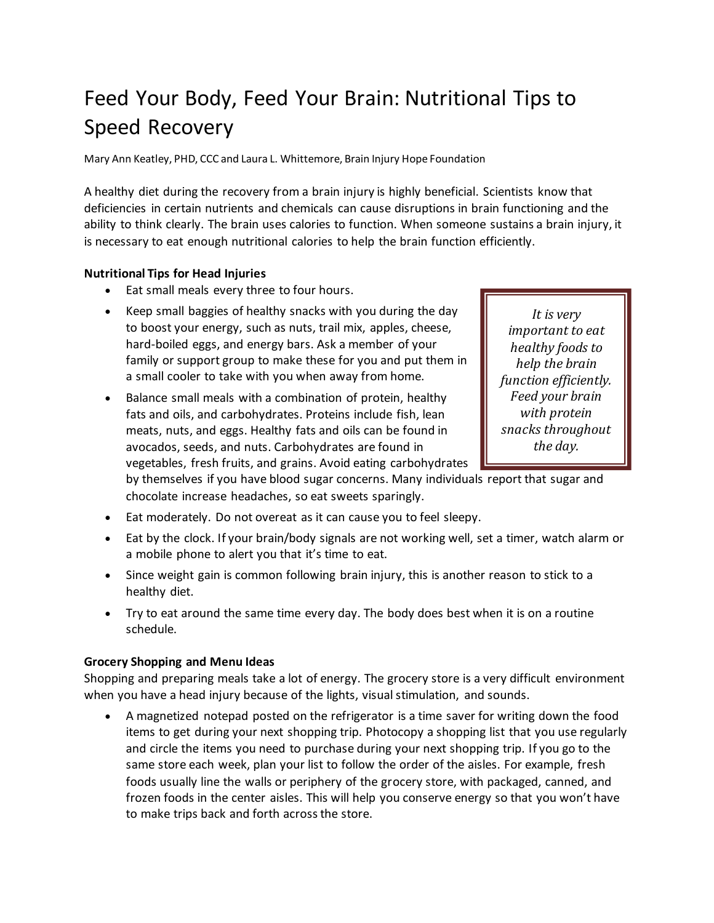# Feed Your Body, Feed Your Brain: Nutritional Tips to Speed Recovery

Mary Ann Keatley, PHD, CCC and Laura L. Whittemore, Brain Injury Hope Foundation

A healthy diet during the recovery from a brain injury is highly beneficial. Scientists know that deficiencies in certain nutrients and chemicals can cause disruptions in brain functioning and the ability to think clearly. The brain uses calories to function. When someone sustains a brain injury, it is necessary to eat enough nutritional calories to help the brain function efficiently.

## **Nutritional Tips for Head Injuries**

- Eat small meals every three to four hours.
- Keep small baggies of healthy snacks with you during the day to boost your energy, such as nuts, trail mix, apples, cheese, hard-boiled eggs, and energy bars. Ask a member of your family or support group to make these for you and put them in a small cooler to take with you when away from home.
- Balance small meals with a combination of protein, healthy fats and oils, and carbohydrates. Proteins include fish, lean meats, nuts, and eggs. Healthy fats and oils can be found in avocados, seeds, and nuts. Carbohydrates are found in vegetables, fresh fruits, and grains. Avoid eating carbohydrates

*It is very important to eat healthy foods to help the brain function efficiently. Feed your brain with protein snacks throughout the day.*

by themselves if you have blood sugar concerns. Many individuals report that sugar and chocolate increase headaches, so eat sweets sparingly.

- Eat moderately. Do not overeat as it can cause you to feel sleepy.
- Eat by the clock. If your brain/body signals are not working well, set a timer, watch alarm or a mobile phone to alert you that it's time to eat.
- Since weight gain is common following brain injury, this is another reason to stick to a healthy diet.
- Try to eat around the same time every day. The body does best when it is on a routine schedule.

### **Grocery Shopping and Menu Ideas**

Shopping and preparing meals take a lot of energy. The grocery store is a very difficult environment when you have a head injury because of the lights, visual stimulation, and sounds.

 A magnetized notepad posted on the refrigerator is a time saver for writing down the food items to get during your next shopping trip. Photocopy a shopping list that you use regularly and circle the items you need to purchase during your next shopping trip. If you go to the same store each week, plan your list to follow the order of the aisles. For example, fresh foods usually line the walls or periphery of the grocery store, with packaged, canned, and frozen foods in the center aisles. This will help you conserve energy so that you won't have to make trips back and forth across the store.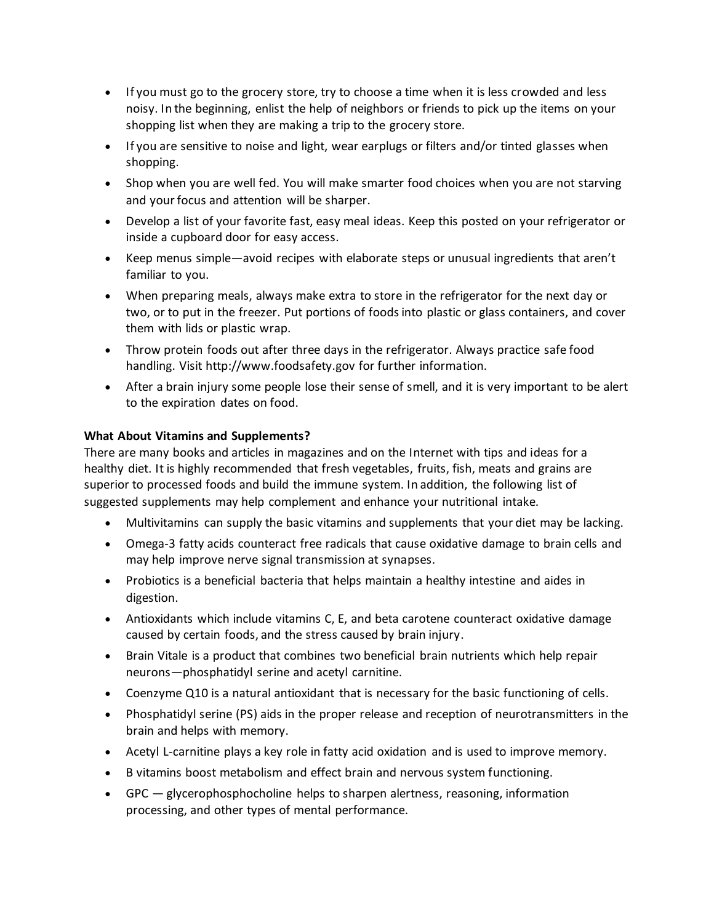- If you must go to the grocery store, try to choose a time when it is less crowded and less noisy. In the beginning, enlist the help of neighbors or friends to pick up the items on your shopping list when they are making a trip to the grocery store.
- If you are sensitive to noise and light, wear earplugs or filters and/or tinted glasses when shopping.
- Shop when you are well fed. You will make smarter food choices when you are not starving and your focus and attention will be sharper.
- Develop a list of your favorite fast, easy meal ideas. Keep this posted on your refrigerator or inside a cupboard door for easy access.
- Keep menus simple—avoid recipes with elaborate steps or unusual ingredients that aren't familiar to you.
- When preparing meals, always make extra to store in the refrigerator for the next day or two, or to put in the freezer. Put portions of foods into plastic or glass containers, and cover them with lids or plastic wrap.
- Throw protein foods out after three days in the refrigerator. Always practice safe food handling. Visit http://www.foodsafety.gov for further information.
- After a brain injury some people lose their sense of smell, and it is very important to be alert to the expiration dates on food.

## **What About Vitamins and Supplements?**

There are many books and articles in magazines and on the Internet with tips and ideas for a healthy diet. It is highly recommended that fresh vegetables, fruits, fish, meats and grains are superior to processed foods and build the immune system. In addition, the following list of suggested supplements may help complement and enhance your nutritional intake.

- Multivitamins can supply the basic vitamins and supplements that your diet may be lacking.
- Omega-3 fatty acids counteract free radicals that cause oxidative damage to brain cells and may help improve nerve signal transmission at synapses.
- Probiotics is a beneficial bacteria that helps maintain a healthy intestine and aides in digestion.
- Antioxidants which include vitamins C, E, and beta carotene counteract oxidative damage caused by certain foods, and the stress caused by brain injury.
- Brain Vitale is a product that combines two beneficial brain nutrients which help repair neurons—phosphatidyl serine and acetyl carnitine.
- Coenzyme Q10 is a natural antioxidant that is necessary for the basic functioning of cells.
- Phosphatidyl serine (PS) aids in the proper release and reception of neurotransmitters in the brain and helps with memory.
- Acetyl L-carnitine plays a key role in fatty acid oxidation and is used to improve memory.
- B vitamins boost metabolism and effect brain and nervous system functioning.
- GPC glycerophosphocholine helps to sharpen alertness, reasoning, information processing, and other types of mental performance.